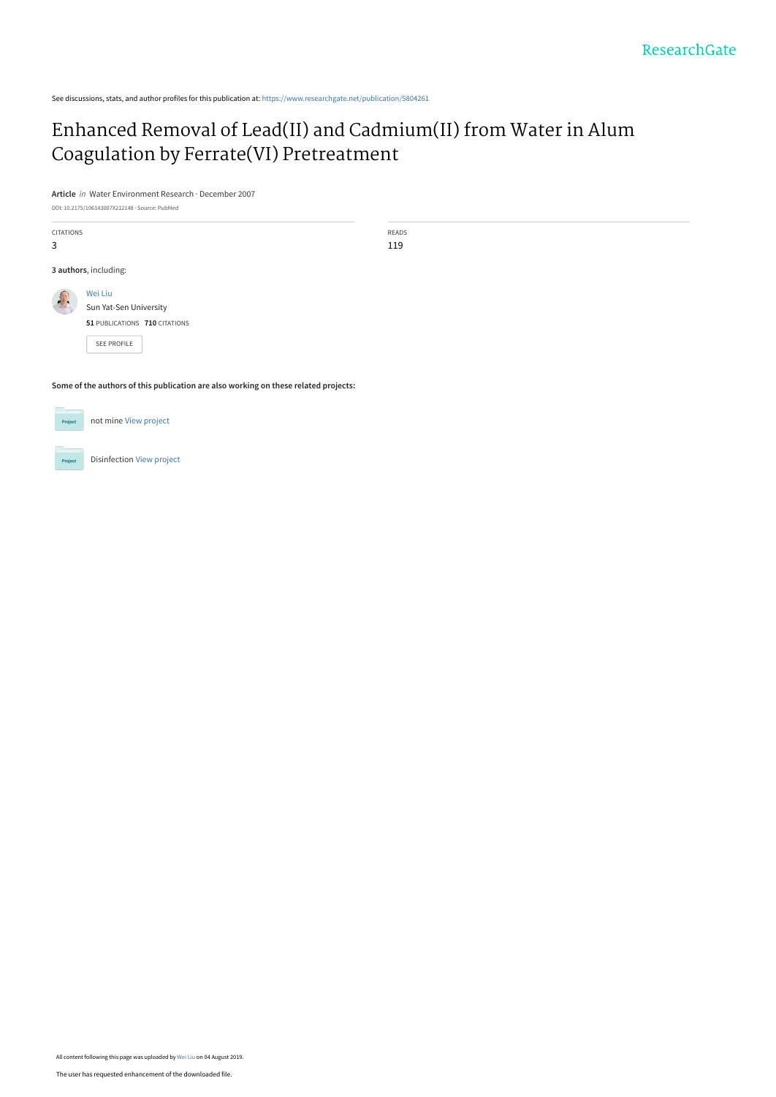See discussions, stats, and author profiles for this publication at: [https://www.researchgate.net/publication/5804261](https://www.researchgate.net/publication/5804261_Enhanced_Removal_of_LeadII_and_CadmiumII_from_Water_in_Alum_Coagulation_by_FerrateVI_Pretreatment?enrichId=rgreq-24ad12a0229a1f52abec1da764d0f6a5-XXX&enrichSource=Y292ZXJQYWdlOzU4MDQyNjE7QVM6Nzg3OTgwMzQ4MzA1NDEwQDE1NjQ4ODA1NjM5Mzg%3D&el=1_x_2&_esc=publicationCoverPdf)

## [Enhanced Removal of Lead\(II\) and Cadmium\(II\) from Water in Alum](https://www.researchgate.net/publication/5804261_Enhanced_Removal_of_LeadII_and_CadmiumII_from_Water_in_Alum_Coagulation_by_FerrateVI_Pretreatment?enrichId=rgreq-24ad12a0229a1f52abec1da764d0f6a5-XXX&enrichSource=Y292ZXJQYWdlOzU4MDQyNjE7QVM6Nzg3OTgwMzQ4MzA1NDEwQDE1NjQ4ODA1NjM5Mzg%3D&el=1_x_3&_esc=publicationCoverPdf) Coagulation by Ferrate(VI) Pretreatment

**Article** in Water Environment Research · December 2007

DOI: 10.2175/106143007X212148 · Source: PubMed

| <b>CITATIONS</b>      |                               | <b>READS</b> |
|-----------------------|-------------------------------|--------------|
| 3                     |                               | 119          |
|                       |                               |              |
| 3 authors, including: |                               |              |
|                       | Wei Liu                       |              |
| -                     | Sun Yat-Sen University        |              |
|                       |                               |              |
|                       | 51 PUBLICATIONS 710 CITATIONS |              |
|                       |                               |              |
|                       | <b>SEE PROFILE</b>            |              |

**Some of the authors of this publication are also working on these related projects:**



All content following this page was uploaded by [Wei Liu](https://www.researchgate.net/profile/Wei_Liu90?enrichId=rgreq-24ad12a0229a1f52abec1da764d0f6a5-XXX&enrichSource=Y292ZXJQYWdlOzU4MDQyNjE7QVM6Nzg3OTgwMzQ4MzA1NDEwQDE1NjQ4ODA1NjM5Mzg%3D&el=1_x_10&_esc=publicationCoverPdf) on 04 August 2019.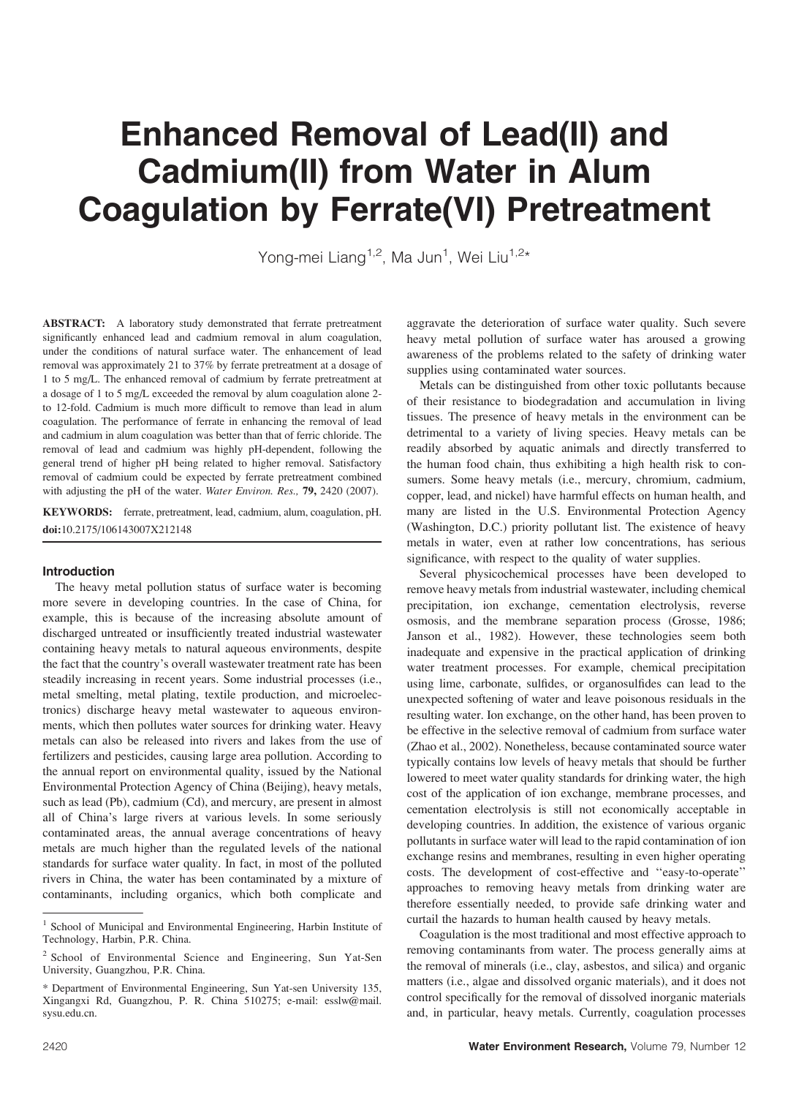# Enhanced Removal of Lead(II) and Cadmium(II) from Water in Alum Coagulation by Ferrate(VI) Pretreatment

Yong-mei Liang<sup>1,2</sup>, Ma Jun<sup>1</sup>, Wei Liu<sup>1,2</sup>\*

ABSTRACT: A laboratory study demonstrated that ferrate pretreatment significantly enhanced lead and cadmium removal in alum coagulation, under the conditions of natural surface water. The enhancement of lead removal was approximately 21 to 37% by ferrate pretreatment at a dosage of 1 to 5 mg/L. The enhanced removal of cadmium by ferrate pretreatment at a dosage of 1 to 5 mg/L exceeded the removal by alum coagulation alone 2 to 12-fold. Cadmium is much more difficult to remove than lead in alum coagulation. The performance of ferrate in enhancing the removal of lead and cadmium in alum coagulation was better than that of ferric chloride. The removal of lead and cadmium was highly pH-dependent, following the general trend of higher pH being related to higher removal. Satisfactory removal of cadmium could be expected by ferrate pretreatment combined with adjusting the pH of the water. Water Environ. Res., 79, 2420 (2007).

KEYWORDS: ferrate, pretreatment, lead, cadmium, alum, coagulation, pH. doi:10.2175/106143007X212148

#### Introduction

The heavy metal pollution status of surface water is becoming more severe in developing countries. In the case of China, for example, this is because of the increasing absolute amount of discharged untreated or insufficiently treated industrial wastewater containing heavy metals to natural aqueous environments, despite the fact that the country's overall wastewater treatment rate has been steadily increasing in recent years. Some industrial processes (i.e., metal smelting, metal plating, textile production, and microelectronics) discharge heavy metal wastewater to aqueous environments, which then pollutes water sources for drinking water. Heavy metals can also be released into rivers and lakes from the use of fertilizers and pesticides, causing large area pollution. According to the annual report on environmental quality, issued by the National Environmental Protection Agency of China (Beijing), heavy metals, such as lead (Pb), cadmium (Cd), and mercury, are present in almost all of China's large rivers at various levels. In some seriously contaminated areas, the annual average concentrations of heavy metals are much higher than the regulated levels of the national standards for surface water quality. In fact, in most of the polluted rivers in China, the water has been contaminated by a mixture of contaminants, including organics, which both complicate and

aggravate the deterioration of surface water quality. Such severe heavy metal pollution of surface water has aroused a growing awareness of the problems related to the safety of drinking water supplies using contaminated water sources.

Metals can be distinguished from other toxic pollutants because of their resistance to biodegradation and accumulation in living tissues. The presence of heavy metals in the environment can be detrimental to a variety of living species. Heavy metals can be readily absorbed by aquatic animals and directly transferred to the human food chain, thus exhibiting a high health risk to consumers. Some heavy metals (i.e., mercury, chromium, cadmium, copper, lead, and nickel) have harmful effects on human health, and many are listed in the U.S. Environmental Protection Agency (Washington, D.C.) priority pollutant list. The existence of heavy metals in water, even at rather low concentrations, has serious significance, with respect to the quality of water supplies.

Several physicochemical processes have been developed to remove heavy metals from industrial wastewater, including chemical precipitation, ion exchange, cementation electrolysis, reverse osmosis, and the membrane separation process (Grosse, 1986; Janson et al., 1982). However, these technologies seem both inadequate and expensive in the practical application of drinking water treatment processes. For example, chemical precipitation using lime, carbonate, sulfides, or organosulfides can lead to the unexpected softening of water and leave poisonous residuals in the resulting water. Ion exchange, on the other hand, has been proven to be effective in the selective removal of cadmium from surface water (Zhao et al., 2002). Nonetheless, because contaminated source water typically contains low levels of heavy metals that should be further lowered to meet water quality standards for drinking water, the high cost of the application of ion exchange, membrane processes, and cementation electrolysis is still not economically acceptable in developing countries. In addition, the existence of various organic pollutants in surface water will lead to the rapid contamination of ion exchange resins and membranes, resulting in even higher operating costs. The development of cost-effective and ''easy-to-operate'' approaches to removing heavy metals from drinking water are therefore essentially needed, to provide safe drinking water and curtail the hazards to human health caused by heavy metals.

Coagulation is the most traditional and most effective approach to removing contaminants from water. The process generally aims at the removal of minerals (i.e., clay, asbestos, and silica) and organic matters (i.e., algae and dissolved organic materials), and it does not control specifically for the removal of dissolved inorganic materials and, in particular, heavy metals. Currently, coagulation processes

<sup>&</sup>lt;sup>1</sup> School of Municipal and Environmental Engineering, Harbin Institute of Technology, Harbin, P.R. China.

<sup>2</sup> School of Environmental Science and Engineering, Sun Yat-Sen University, Guangzhou, P.R. China.

<sup>\*</sup> Department of Environmental Engineering, Sun Yat-sen University 135, Xingangxi Rd, Guangzhou, P. R. China 510275; e-mail: esslw@mail. sysu.edu.cn.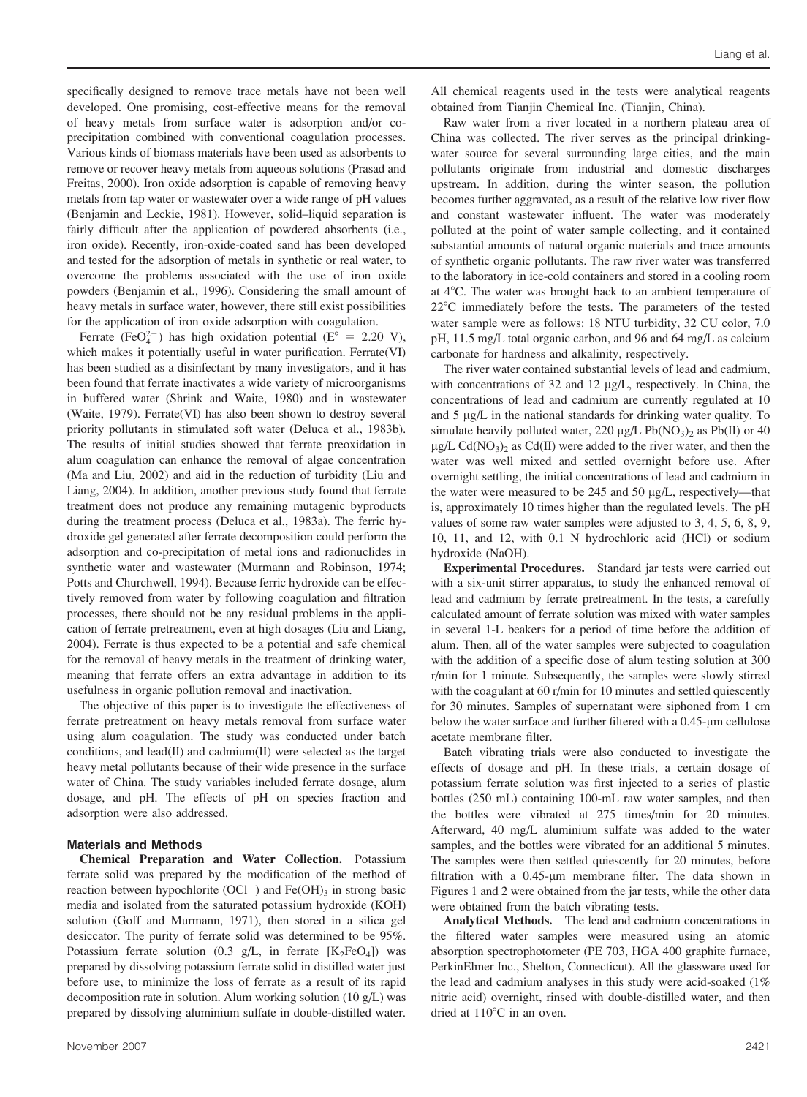specifically designed to remove trace metals have not been well developed. One promising, cost-effective means for the removal of heavy metals from surface water is adsorption and/or coprecipitation combined with conventional coagulation processes. Various kinds of biomass materials have been used as adsorbents to remove or recover heavy metals from aqueous solutions (Prasad and Freitas, 2000). Iron oxide adsorption is capable of removing heavy metals from tap water or wastewater over a wide range of pH values (Benjamin and Leckie, 1981). However, solid–liquid separation is fairly difficult after the application of powdered absorbents (i.e., iron oxide). Recently, iron-oxide-coated sand has been developed and tested for the adsorption of metals in synthetic or real water, to overcome the problems associated with the use of iron oxide powders (Benjamin et al., 1996). Considering the small amount of heavy metals in surface water, however, there still exist possibilities for the application of iron oxide adsorption with coagulation.

Ferrate (FeO<sub>4</sub><sup>2-</sup>) has high oxidation potential (E<sup>o</sup> = 2.20 V), which makes it potentially useful in water purification. Ferrate(VI) has been studied as a disinfectant by many investigators, and it has been found that ferrate inactivates a wide variety of microorganisms in buffered water (Shrink and Waite, 1980) and in wastewater (Waite, 1979). Ferrate(VI) has also been shown to destroy several priority pollutants in stimulated soft water (Deluca et al., 1983b). The results of initial studies showed that ferrate preoxidation in alum coagulation can enhance the removal of algae concentration (Ma and Liu, 2002) and aid in the reduction of turbidity (Liu and Liang, 2004). In addition, another previous study found that ferrate treatment does not produce any remaining mutagenic byproducts during the treatment process (Deluca et al., 1983a). The ferric hydroxide gel generated after ferrate decomposition could perform the adsorption and co-precipitation of metal ions and radionuclides in synthetic water and wastewater (Murmann and Robinson, 1974; Potts and Churchwell, 1994). Because ferric hydroxide can be effectively removed from water by following coagulation and filtration processes, there should not be any residual problems in the application of ferrate pretreatment, even at high dosages (Liu and Liang, 2004). Ferrate is thus expected to be a potential and safe chemical for the removal of heavy metals in the treatment of drinking water, meaning that ferrate offers an extra advantage in addition to its usefulness in organic pollution removal and inactivation.

The objective of this paper is to investigate the effectiveness of ferrate pretreatment on heavy metals removal from surface water using alum coagulation. The study was conducted under batch conditions, and lead(II) and cadmium(II) were selected as the target heavy metal pollutants because of their wide presence in the surface water of China. The study variables included ferrate dosage, alum dosage, and pH. The effects of pH on species fraction and adsorption were also addressed.

#### Materials and Methods

Chemical Preparation and Water Collection. Potassium ferrate solid was prepared by the modification of the method of reaction between hypochlorite  $(OCl<sup>-</sup>)$  and  $Fe(OH)<sub>3</sub>$  in strong basic media and isolated from the saturated potassium hydroxide (KOH) solution (Goff and Murmann, 1971), then stored in a silica gel desiccator. The purity of ferrate solid was determined to be 95%. Potassium ferrate solution (0.3 g/L, in ferrate  $[K_2FeO_4]$ ) was prepared by dissolving potassium ferrate solid in distilled water just before use, to minimize the loss of ferrate as a result of its rapid decomposition rate in solution. Alum working solution (10 g/L) was prepared by dissolving aluminium sulfate in double-distilled water. All chemical reagents used in the tests were analytical reagents obtained from Tianjin Chemical Inc. (Tianjin, China).

Raw water from a river located in a northern plateau area of China was collected. The river serves as the principal drinkingwater source for several surrounding large cities, and the main pollutants originate from industrial and domestic discharges upstream. In addition, during the winter season, the pollution becomes further aggravated, as a result of the relative low river flow and constant wastewater influent. The water was moderately polluted at the point of water sample collecting, and it contained substantial amounts of natural organic materials and trace amounts of synthetic organic pollutants. The raw river water was transferred to the laboratory in ice-cold containers and stored in a cooling room at 4<sup>o</sup>C. The water was brought back to an ambient temperature of  $22^{\circ}$ C immediately before the tests. The parameters of the tested water sample were as follows: 18 NTU turbidity, 32 CU color, 7.0 pH, 11.5 mg/L total organic carbon, and 96 and 64 mg/L as calcium carbonate for hardness and alkalinity, respectively.

The river water contained substantial levels of lead and cadmium, with concentrations of 32 and 12  $\mu$ g/L, respectively. In China, the concentrations of lead and cadmium are currently regulated at 10 and 5 µg/L in the national standards for drinking water quality. To simulate heavily polluted water, 220  $\mu$ g/L Pb(NO<sub>3</sub>)<sub>2</sub> as Pb(II) or 40  $\mu$ g/L Cd(NO<sub>3</sub>)<sub>2</sub> as Cd(II) were added to the river water, and then the water was well mixed and settled overnight before use. After overnight settling, the initial concentrations of lead and cadmium in the water were measured to be  $245$  and  $50 \mu g/L$ , respectively—that is, approximately 10 times higher than the regulated levels. The pH values of some raw water samples were adjusted to 3, 4, 5, 6, 8, 9, 10, 11, and 12, with 0.1 N hydrochloric acid (HCl) or sodium hydroxide (NaOH).

Experimental Procedures. Standard jar tests were carried out with a six-unit stirrer apparatus, to study the enhanced removal of lead and cadmium by ferrate pretreatment. In the tests, a carefully calculated amount of ferrate solution was mixed with water samples in several 1-L beakers for a period of time before the addition of alum. Then, all of the water samples were subjected to coagulation with the addition of a specific dose of alum testing solution at 300 r/min for 1 minute. Subsequently, the samples were slowly stirred with the coagulant at 60 r/min for 10 minutes and settled quiescently for 30 minutes. Samples of supernatant were siphoned from 1 cm below the water surface and further filtered with a  $0.45$ - $\mu$ m cellulose acetate membrane filter.

Batch vibrating trials were also conducted to investigate the effects of dosage and pH. In these trials, a certain dosage of potassium ferrate solution was first injected to a series of plastic bottles (250 mL) containing 100-mL raw water samples, and then the bottles were vibrated at 275 times/min for 20 minutes. Afterward, 40 mg/L aluminium sulfate was added to the water samples, and the bottles were vibrated for an additional 5 minutes. The samples were then settled quiescently for 20 minutes, before filtration with a  $0.45$ -µm membrane filter. The data shown in Figures 1 and 2 were obtained from the jar tests, while the other data were obtained from the batch vibrating tests.

Analytical Methods. The lead and cadmium concentrations in the filtered water samples were measured using an atomic absorption spectrophotometer (PE 703, HGA 400 graphite furnace, PerkinElmer Inc., Shelton, Connecticut). All the glassware used for the lead and cadmium analyses in this study were acid-soaked (1% nitric acid) overnight, rinsed with double-distilled water, and then dried at  $110^{\circ}$ C in an oven.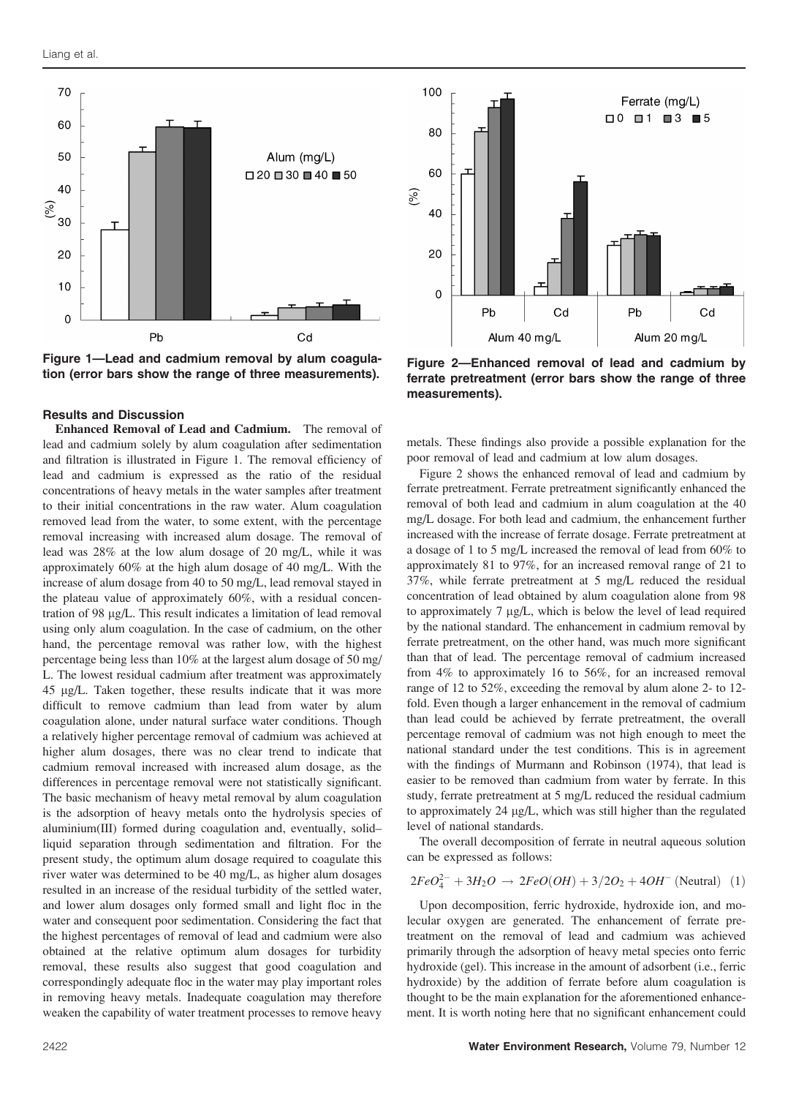

Figure 1—Lead and cadmium removal by alum coagula-Figure i—Lead and cadmium removal by alum coagula-<br>tion (error bars show the range of three measurements). For the pretreatment (error bars show the range of three

### Results and Discussion

Enhanced Removal of Lead and Cadmium. The removal of lead and cadmium solely by alum coagulation after sedimentation and filtration is illustrated in Figure 1. The removal efficiency of lead and cadmium is expressed as the ratio of the residual concentrations of heavy metals in the water samples after treatment to their initial concentrations in the raw water. Alum coagulation removed lead from the water, to some extent, with the percentage removal increasing with increased alum dosage. The removal of lead was 28% at the low alum dosage of 20 mg/L, while it was approximately 60% at the high alum dosage of 40 mg/L. With the increase of alum dosage from 40 to 50 mg/L, lead removal stayed in the plateau value of approximately 60%, with a residual concentration of 98 µg/L. This result indicates a limitation of lead removal using only alum coagulation. In the case of cadmium, on the other hand, the percentage removal was rather low, with the highest percentage being less than 10% at the largest alum dosage of 50 mg/ L. The lowest residual cadmium after treatment was approximately 45 lg/L. Taken together, these results indicate that it was more difficult to remove cadmium than lead from water by alum coagulation alone, under natural surface water conditions. Though a relatively higher percentage removal of cadmium was achieved at higher alum dosages, there was no clear trend to indicate that cadmium removal increased with increased alum dosage, as the differences in percentage removal were not statistically significant. The basic mechanism of heavy metal removal by alum coagulation is the adsorption of heavy metals onto the hydrolysis species of aluminium(III) formed during coagulation and, eventually, solid– liquid separation through sedimentation and filtration. For the present study, the optimum alum dosage required to coagulate this river water was determined to be 40 mg/L, as higher alum dosages resulted in an increase of the residual turbidity of the settled water, and lower alum dosages only formed small and light floc in the water and consequent poor sedimentation. Considering the fact that the highest percentages of removal of lead and cadmium were also obtained at the relative optimum alum dosages for turbidity removal, these results also suggest that good coagulation and correspondingly adequate floc in the water may play important roles in removing heavy metals. Inadequate coagulation may therefore weaken the capability of water treatment processes to remove heavy



ferrate pretreatment (error bars show the range of three measurements).

metals. These findings also provide a possible explanation for the poor removal of lead and cadmium at low alum dosages.

Figure 2 shows the enhanced removal of lead and cadmium by ferrate pretreatment. Ferrate pretreatment significantly enhanced the removal of both lead and cadmium in alum coagulation at the 40 mg/L dosage. For both lead and cadmium, the enhancement further increased with the increase of ferrate dosage. Ferrate pretreatment at a dosage of 1 to 5 mg/L increased the removal of lead from 60% to approximately 81 to 97%, for an increased removal range of 21 to 37%, while ferrate pretreatment at 5 mg/L reduced the residual concentration of lead obtained by alum coagulation alone from 98 to approximately  $7 \mu g/L$ , which is below the level of lead required by the national standard. The enhancement in cadmium removal by ferrate pretreatment, on the other hand, was much more significant than that of lead. The percentage removal of cadmium increased from 4% to approximately 16 to 56%, for an increased removal range of 12 to 52%, exceeding the removal by alum alone 2- to 12 fold. Even though a larger enhancement in the removal of cadmium than lead could be achieved by ferrate pretreatment, the overall percentage removal of cadmium was not high enough to meet the national standard under the test conditions. This is in agreement with the findings of Murmann and Robinson (1974), that lead is easier to be removed than cadmium from water by ferrate. In this study, ferrate pretreatment at 5 mg/L reduced the residual cadmium to approximately  $24 \mu g/L$ , which was still higher than the regulated level of national standards.

The overall decomposition of ferrate in neutral aqueous solution can be expressed as follows:

$$
2FeO_4^{2-} + 3H_2O \rightarrow 2FeO(OH) + 3/2O_2 + 4OH^- (Neutral)
$$
 (1)

Upon decomposition, ferric hydroxide, hydroxide ion, and molecular oxygen are generated. The enhancement of ferrate pretreatment on the removal of lead and cadmium was achieved primarily through the adsorption of heavy metal species onto ferric hydroxide (gel). This increase in the amount of adsorbent (i.e., ferric hydroxide) by the addition of ferrate before alum coagulation is thought to be the main explanation for the aforementioned enhancement. It is worth noting here that no significant enhancement could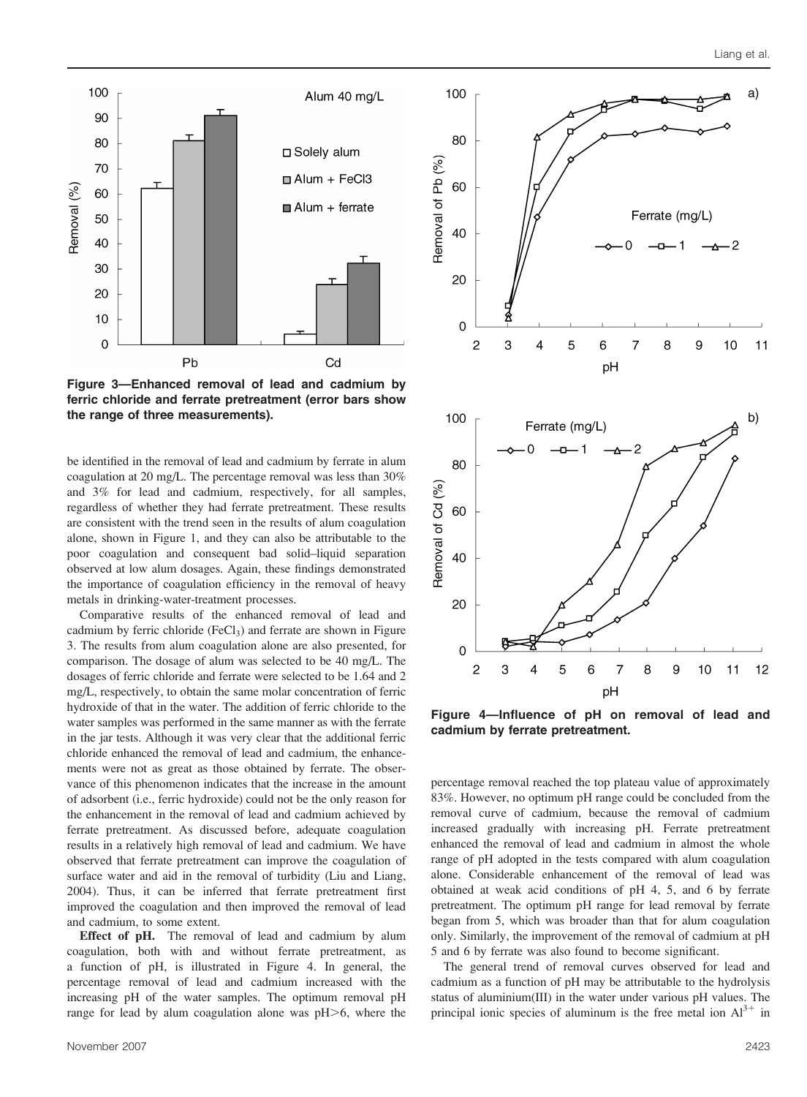

Figure 3—Enhanced removal of lead and cadmium by ferric chloride and ferrate pretreatment (error bars show the range of three measurements).

be identified in the removal of lead and cadmium by ferrate in alum coagulation at 20 mg/L. The percentage removal was less than 30% and 3% for lead and cadmium, respectively, for all samples, regardless of whether they had ferrate pretreatment. These results are consistent with the trend seen in the results of alum coagulation alone, shown in Figure 1, and they can also be attributable to the poor coagulation and consequent bad solid–liquid separation observed at low alum dosages. Again, these findings demonstrated the importance of coagulation efficiency in the removal of heavy metals in drinking-water-treatment processes.

Comparative results of the enhanced removal of lead and cadmium by ferric chloride (FeCl<sub>3</sub>) and ferrate are shown in Figure 3. The results from alum coagulation alone are also presented, for comparison. The dosage of alum was selected to be 40 mg/L. The dosages of ferric chloride and ferrate were selected to be 1.64 and 2 mg/L, respectively, to obtain the same molar concentration of ferric hydroxide of that in the water. The addition of ferric chloride to the water samples was performed in the same manner as with the ferrate in the jar tests. Although it was very clear that the additional ferric chloride enhanced the removal of lead and cadmium, the enhancements were not as great as those obtained by ferrate. The observance of this phenomenon indicates that the increase in the amount of adsorbent (i.e., ferric hydroxide) could not be the only reason for the enhancement in the removal of lead and cadmium achieved by ferrate pretreatment. As discussed before, adequate coagulation results in a relatively high removal of lead and cadmium. We have observed that ferrate pretreatment can improve the coagulation of surface water and aid in the removal of turbidity (Liu and Liang, 2004). Thus, it can be inferred that ferrate pretreatment first improved the coagulation and then improved the removal of lead and cadmium, to some extent.

Effect of pH. The removal of lead and cadmium by alum coagulation, both with and without ferrate pretreatment, as a function of pH, is illustrated in Figure 4. In general, the percentage removal of lead and cadmium increased with the increasing pH of the water samples. The optimum removal pH range for lead by alum coagulation alone was  $pH$  $>$ 6, where the



Figure 4—Influence of pH on removal of lead and cadmium by ferrate pretreatment.

percentage removal reached the top plateau value of approximately 83%. However, no optimum pH range could be concluded from the removal curve of cadmium, because the removal of cadmium increased gradually with increasing pH. Ferrate pretreatment enhanced the removal of lead and cadmium in almost the whole range of pH adopted in the tests compared with alum coagulation alone. Considerable enhancement of the removal of lead was obtained at weak acid conditions of pH 4, 5, and 6 by ferrate pretreatment. The optimum pH range for lead removal by ferrate began from 5, which was broader than that for alum coagulation only. Similarly, the improvement of the removal of cadmium at pH 5 and 6 by ferrate was also found to become significant.

The general trend of removal curves observed for lead and cadmium as a function of pH may be attributable to the hydrolysis status of aluminium(III) in the water under various pH values. The principal ionic species of aluminum is the free metal ion  $Al^{3+}$  in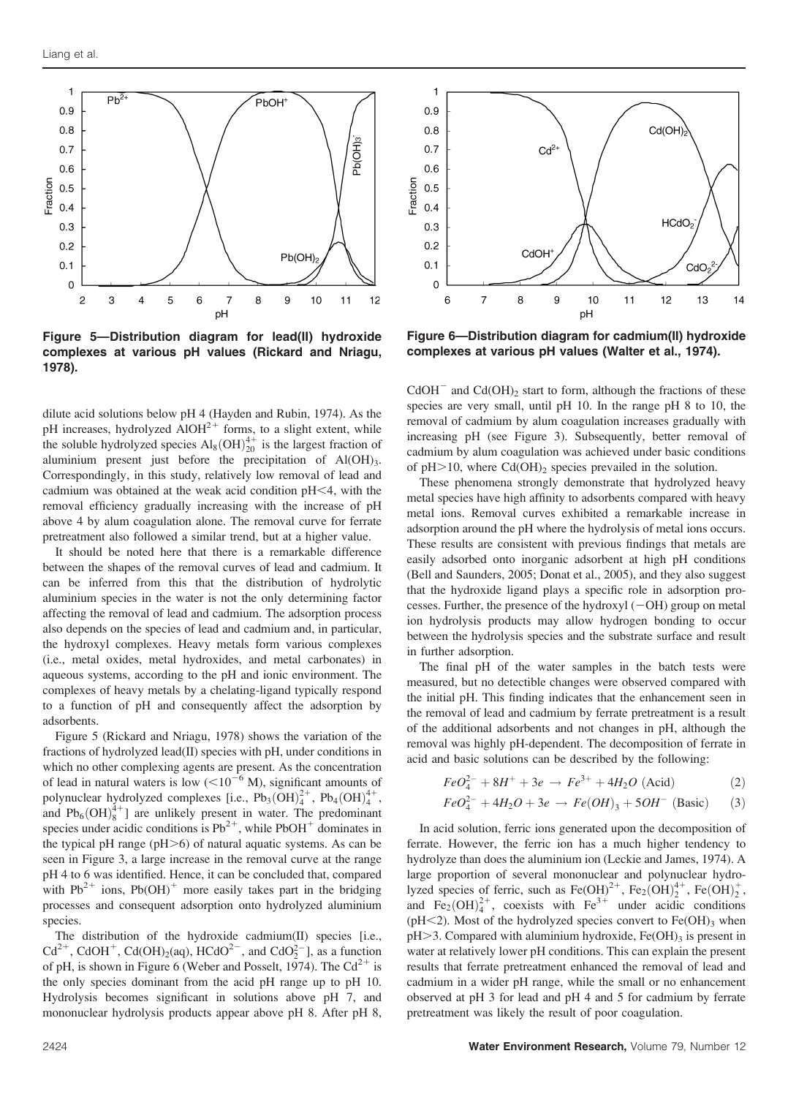

Figure 5—Distribution diagram for lead(II) hydroxide complexes at various pH values (Rickard and Nriagu, 1978).

dilute acid solutions below pH 4 (Hayden and Rubin, 1974). As the pH increases, hydrolyzed  $\widehat{A}$ lOH<sup>2+</sup> forms, to a slight extent, while the soluble hydrolyzed species  $\text{Al}_8(\text{OH})_{20}^{4+}$  is the largest fraction of aluminium present just before the precipitation of Al(OH)<sub>3</sub>. Correspondingly, in this study, relatively low removal of lead and cadmium was obtained at the weak acid condition  $pH<4$ , with the removal efficiency gradually increasing with the increase of pH above 4 by alum coagulation alone. The removal curve for ferrate pretreatment also followed a similar trend, but at a higher value.

It should be noted here that there is a remarkable difference between the shapes of the removal curves of lead and cadmium. It can be inferred from this that the distribution of hydrolytic aluminium species in the water is not the only determining factor affecting the removal of lead and cadmium. The adsorption process also depends on the species of lead and cadmium and, in particular, the hydroxyl complexes. Heavy metals form various complexes (i.e., metal oxides, metal hydroxides, and metal carbonates) in aqueous systems, according to the pH and ionic environment. The complexes of heavy metals by a chelating-ligand typically respond to a function of pH and consequently affect the adsorption by adsorbents.

Figure 5 (Rickard and Nriagu, 1978) shows the variation of the fractions of hydrolyzed lead(II) species with pH, under conditions in which no other complexing agents are present. As the concentration of lead in natural waters is low  $(<10^{-6}$  M), significant amounts of polynuclear hydrolyzed complexes [i.e.,  $Pb_3(OH)_4^{2+}$ ,  $Pb_4(OH)_4^{4+}$ , and  $Pb_6(OH)_8^{4+}$ ] are unlikely present in water. The predominant species under acidic conditions is  $Pb^{2+}$ , while PbOH<sup>+</sup> dominates in the typical pH range ( $pH$  $>$ 6) of natural aquatic systems. As can be seen in Figure 3, a large increase in the removal curve at the range pH 4 to 6 was identified. Hence, it can be concluded that, compared with  $Pb^{2+}$  ions,  $Pb(OH)^+$  more easily takes part in the bridging processes and consequent adsorption onto hydrolyzed aluminium species.

The distribution of the hydroxide cadmium(II) species [i.e.,  $Cd^{2+}$ , CdOH<sup>+</sup>, Cd(OH)<sub>2</sub>(aq), HCdO<sup>2-</sup>, and CdO<sub>2</sub><sup>-</sup>], as a function of pH, is shown in Figure 6 (Weber and Posselt, 1974). The  $Cd^{2+}$  is the only species dominant from the acid pH range up to pH 10. Hydrolysis becomes significant in solutions above pH 7, and mononuclear hydrolysis products appear above pH 8. After pH 8,



Figure 6—Distribution diagram for cadmium(II) hydroxide complexes at various pH values (Walter et al., 1974).

 $CdOH^-$  and  $Cd(OH)_2$  start to form, although the fractions of these species are very small, until pH 10. In the range pH 8 to 10, the removal of cadmium by alum coagulation increases gradually with increasing pH (see Figure 3). Subsequently, better removal of cadmium by alum coagulation was achieved under basic conditions of  $pH>10$ , where Cd(OH)<sub>2</sub> species prevailed in the solution.

These phenomena strongly demonstrate that hydrolyzed heavy metal species have high affinity to adsorbents compared with heavy metal ions. Removal curves exhibited a remarkable increase in adsorption around the pH where the hydrolysis of metal ions occurs. These results are consistent with previous findings that metals are easily adsorbed onto inorganic adsorbent at high pH conditions (Bell and Saunders, 2005; Donat et al., 2005), and they also suggest that the hydroxide ligand plays a specific role in adsorption processes. Further, the presence of the hydroxyl  $(-OH)$  group on metal ion hydrolysis products may allow hydrogen bonding to occur between the hydrolysis species and the substrate surface and result in further adsorption.

The final pH of the water samples in the batch tests were measured, but no detectible changes were observed compared with the initial pH. This finding indicates that the enhancement seen in the removal of lead and cadmium by ferrate pretreatment is a result of the additional adsorbents and not changes in pH, although the removal was highly pH-dependent. The decomposition of ferrate in acid and basic solutions can be described by the following:

$$
FeO_4^{2-} + 8H^+ + 3e \rightarrow Fe^{3+} + 4H_2O \text{ (Acid)}
$$
 (2)

$$
FeO_4^{2-} + 4H_2O + 3e \rightarrow Fe(OH)_3 + 5OH^- \text{ (Basic)} \tag{3}
$$

In acid solution, ferric ions generated upon the decomposition of ferrate. However, the ferric ion has a much higher tendency to hydrolyze than does the aluminium ion (Leckie and James, 1974). A large proportion of several mononuclear and polynuclear hydrolyzed species of ferric, such as  $\text{Fe(OH)}^{2+}$ ,  $\text{Fe}_2(OH)_2^{4+}$ ,  $\text{Fe(OH)}_2^+$ , and Fe<sub>2</sub>(OH)<sup>2+</sup>, coexists with Fe<sup>3+</sup> under acidic conditions ( $pH$ <2). Most of the hydrolyzed species convert to Fe(OH)<sub>3</sub> when  $pH > 3$ . Compared with aluminium hydroxide, Fe(OH)<sub>3</sub> is present in water at relatively lower pH conditions. This can explain the present results that ferrate pretreatment enhanced the removal of lead and cadmium in a wider pH range, while the small or no enhancement observed at pH 3 for lead and pH 4 and 5 for cadmium by ferrate pretreatment was likely the result of poor coagulation.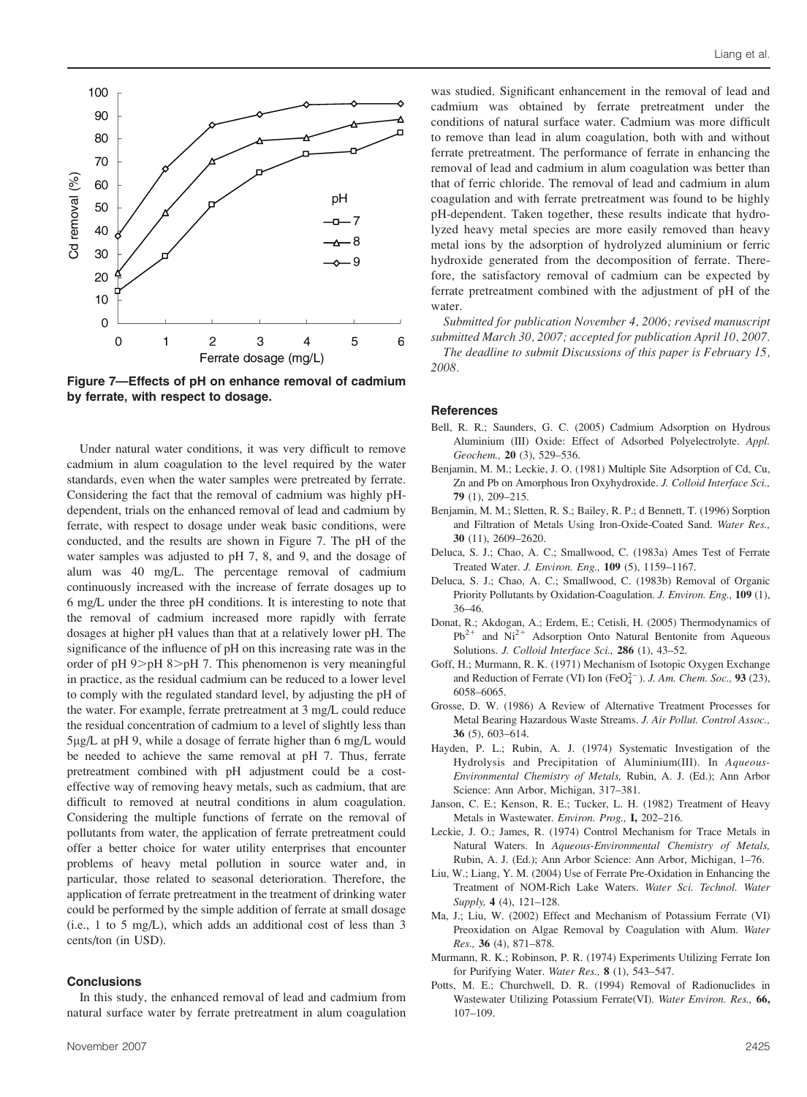

Figure 7—Effects of pH on enhance removal of cadmium by ferrate, with respect to dosage.

Under natural water conditions, it was very difficult to remove cadmium in alum coagulation to the level required by the water standards, even when the water samples were pretreated by ferrate. Considering the fact that the removal of cadmium was highly pHdependent, trials on the enhanced removal of lead and cadmium by ferrate, with respect to dosage under weak basic conditions, were conducted, and the results are shown in Figure 7. The pH of the water samples was adjusted to pH 7, 8, and 9, and the dosage of alum was 40 mg/L. The percentage removal of cadmium continuously increased with the increase of ferrate dosages up to 6 mg/L under the three pH conditions. It is interesting to note that the removal of cadmium increased more rapidly with ferrate dosages at higher pH values than that at a relatively lower pH. The significance of the influence of pH on this increasing rate was in the order of  $pH$  9 $>$  $pH$  8 $>$  $pH$  7. This phenomenon is very meaningful in practice, as the residual cadmium can be reduced to a lower level to comply with the regulated standard level, by adjusting the pH of the water. For example, ferrate pretreatment at 3 mg/L could reduce the residual concentration of cadmium to a level of slightly less than 5lg/L at pH 9, while a dosage of ferrate higher than 6 mg/L would be needed to achieve the same removal at pH 7. Thus, ferrate pretreatment combined with pH adjustment could be a costeffective way of removing heavy metals, such as cadmium, that are difficult to removed at neutral conditions in alum coagulation. Considering the multiple functions of ferrate on the removal of pollutants from water, the application of ferrate pretreatment could offer a better choice for water utility enterprises that encounter problems of heavy metal pollution in source water and, in particular, those related to seasonal deterioration. Therefore, the application of ferrate pretreatment in the treatment of drinking water could be performed by the simple addition of ferrate at small dosage (i.e., 1 to 5 mg/L), which adds an additional cost of less than 3 cents/ton (in USD).

#### **Conclusions**

In this study, the enhanced removal of lead and cadmium from natural surface water by ferrate pretreatment in alum coagulation

was studied. Significant enhancement in the removal of lead and cadmium was obtained by ferrate pretreatment under the conditions of natural surface water. Cadmium was more difficult to remove than lead in alum coagulation, both with and without ferrate pretreatment. The performance of ferrate in enhancing the removal of lead and cadmium in alum coagulation was better than that of ferric chloride. The removal of lead and cadmium in alum coagulation and with ferrate pretreatment was found to be highly pH-dependent. Taken together, these results indicate that hydrolyzed heavy metal species are more easily removed than heavy metal ions by the adsorption of hydrolyzed aluminium or ferric hydroxide generated from the decomposition of ferrate. Therefore, the satisfactory removal of cadmium can be expected by ferrate pretreatment combined with the adjustment of pH of the water.

Submitted for publication November 4, 2006; revised manuscript submitted March 30, 2007; accepted for publication April 10, 2007.

The deadline to submit Discussions of this paper is February 15, 2008.

#### References

- Bell, R. R.; Saunders, G. C. (2005) Cadmium Adsorption on Hydrous Aluminium (III) Oxide: Effect of Adsorbed Polyelectrolyte. Appl. Geochem., 20 (3), 529–536.
- Benjamin, M. M.; Leckie, J. O. (1981) Multiple Site Adsorption of Cd, Cu, Zn and Pb on Amorphous Iron Oxyhydroxide. J. Colloid Interface Sci., 79 (1), 209–215.
- Benjamin, M. M.; Sletten, R. S.; Bailey, R. P.; d Bennett, T. (1996) Sorption and Filtration of Metals Using Iron-Oxide-Coated Sand. Water Res., 30 (11), 2609–2620.
- Deluca, S. J.; Chao, A. C.; Smallwood, C. (1983a) Ames Test of Ferrate Treated Water. J. Environ. Eng., 109 (5), 1159–1167.
- Deluca, S. J.; Chao, A. C.; Smallwood, C. (1983b) Removal of Organic Priority Pollutants by Oxidation-Coagulation. J. Environ. Eng., 109 (1), 36–46.
- Donat, R.; Akdogan, A.; Erdem, E.; Cetisli, H. (2005) Thermodynamics of  $Pb^{2+}$  and  $Ni^{2+}$  Adsorption Onto Natural Bentonite from Aqueous Solutions. J. Colloid Interface Sci., 286 (1), 43-52.
- Goff, H.; Murmann, R. K. (1971) Mechanism of Isotopic Oxygen Exchange and Reduction of Ferrate (VI) Ion (FeO $_4^{2-}$ ). J. Am. Chem. Soc., 93 (23), 6058–6065.
- Grosse, D. W. (1986) A Review of Alternative Treatment Processes for Metal Bearing Hazardous Waste Streams. J. Air Pollut. Control Assoc., 36 (5), 603–614.
- Hayden, P. L.; Rubin, A. J. (1974) Systematic Investigation of the Hydrolysis and Precipitation of Aluminium(III). In Aqueous-Environmental Chemistry of Metals, Rubin, A. J. (Ed.); Ann Arbor Science: Ann Arbor, Michigan, 317–381.
- Janson, C. E.; Kenson, R. E.; Tucker, L. H. (1982) Treatment of Heavy Metals in Wastewater. Environ. Prog., I, 202–216.
- Leckie, J. O.; James, R. (1974) Control Mechanism for Trace Metals in Natural Waters. In Aqueous-Environmental Chemistry of Metals, Rubin, A. J. (Ed.); Ann Arbor Science: Ann Arbor, Michigan, 1–76.
- Liu, W.; Liang, Y. M. (2004) Use of Ferrate Pre-Oxidation in Enhancing the Treatment of NOM-Rich Lake Waters. Water Sci. Technol. Water Supply, 4 (4), 121–128.
- Ma, J.; Liu, W. (2002) Effect and Mechanism of Potassium Ferrate (VI) Preoxidation on Algae Removal by Coagulation with Alum. Water Res., 36 (4), 871–878.
- Murmann, R. K.; Robinson, P. R. (1974) Experiments Utilizing Ferrate Ion for Purifying Water. Water Res., 8 (1), 543–547.
- Potts, M. E.; Churchwell, D. R. (1994) Removal of Radionuclides in Wastewater Utilizing Potassium Ferrate(VI). Water Environ. Res., 66, 107–109.